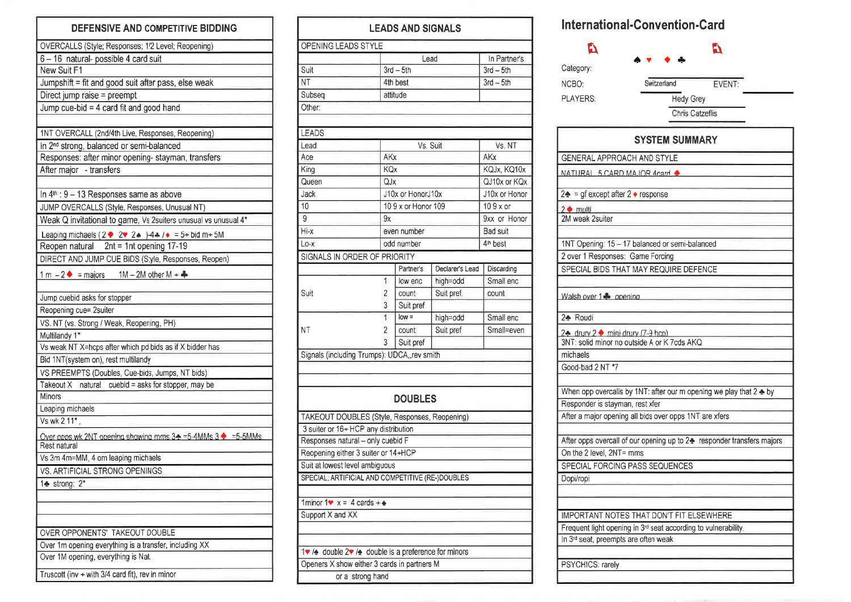| <b>DEFENSIVE AND COMPETITIVE BIDDING</b>                                                      |
|-----------------------------------------------------------------------------------------------|
| OVERCALLS (Style; Responses; 1/2 Level; Reopening)                                            |
| 6-16 natural-possible 4 card suit                                                             |
| New Suit F1                                                                                   |
| Jumpshift = fit and good suit after pass, else weak                                           |
| Direct jump raise = preempt                                                                   |
| Jump cue-bid = 4 card fit and good hand                                                       |
|                                                                                               |
| 1NT OVERCALL (2nd/4th Live, Responses, Reopening)                                             |
| In 2 <sup>nd</sup> strong, balanced or semi-balanced                                          |
| Responses: after minor opening- stayman, transfers                                            |
| After major - transfers                                                                       |
|                                                                                               |
| In $4th$ : 9 - 13 Responses same as above                                                     |
| JUMP OVERCALLS (Style, Responses, Unusual NT)                                                 |
| Weak Q invitational to game, Vs 2suiters unusual vs unusual 4*                                |
| Leaping michaels ( $2 \div 2 \div 2$ $2 \div 14 + 7 \div 5 + 5$ bid m + 5M                    |
| Reopen natural 2nt = 1nt opening 17-19                                                        |
| DIRECT AND JUMP CUE BIDS (Style, Responses, Reopen)                                           |
| 1 m $-2$ $\blacklozenge$ = majors 1M - 2M other M + $\clubsuit$                               |
|                                                                                               |
| Jump cuebid asks for stopper<br>Reopening cue= 2suiter                                        |
|                                                                                               |
| VS. NT (vs. Strong / Weak, Reopening, PH)<br>Multilandy 1*                                    |
| Vs weak NT X=hcps after which pd bids as if X bidder has                                      |
| Bid 1NT(system on), rest multilandy                                                           |
| VS PREEMPTS (Doubles, Cue-bids, Jumps, NT bids)                                               |
| natural cuebid = asks for stopper, may be<br>Takeout X                                        |
| <b>Minors</b>                                                                                 |
| Leaping michaels                                                                              |
| Vs wk 2 11*,                                                                                  |
| Over opps wk 2NT opening showing mms 3→ =5-4MMs 3 → =5-5MMs                                   |
| Rest natural                                                                                  |
| Vs 3m 4m=MM, 4 om leaping michaels                                                            |
| VS. ARTIFICIAL STRONG OPENINGS                                                                |
| 1+ strong: 2*                                                                                 |
|                                                                                               |
|                                                                                               |
|                                                                                               |
| OVER OPPONENTS' TAKEOUT DOUBLE                                                                |
| Over 1m opening everything is a transfer, including XX<br>Over 1M opening, everything is Nat. |
|                                                                                               |
| Truscott (inv + with 3/4 card fit), rev in minor                                              |

| <b>LEADS AND SIGNALS</b>                                                     |                    |                     |                 |                      |  |  |  |  |
|------------------------------------------------------------------------------|--------------------|---------------------|-----------------|----------------------|--|--|--|--|
| OPENING LEADS STYLE                                                          |                    |                     |                 |                      |  |  |  |  |
|                                                                              |                    | Lead                |                 | In Partner's         |  |  |  |  |
| Suit                                                                         |                    | $3rd - 5th$         | $3rd - 5th$     |                      |  |  |  |  |
| NΤ                                                                           | 4th best           |                     |                 | $3rd - 5th$          |  |  |  |  |
| Subseq                                                                       | attitude           |                     |                 |                      |  |  |  |  |
| Other:                                                                       |                    |                     |                 |                      |  |  |  |  |
|                                                                              |                    |                     |                 |                      |  |  |  |  |
| LEADS                                                                        |                    |                     |                 |                      |  |  |  |  |
| Lead                                                                         | Vs. NT<br>Vs. Suit |                     |                 |                      |  |  |  |  |
| Ace                                                                          | AKx                |                     |                 | AKx                  |  |  |  |  |
| King                                                                         | <b>KQx</b>         |                     |                 | KQJx, KQ10x          |  |  |  |  |
| Queen                                                                        | QJx                |                     |                 | QJ10x or KQx         |  |  |  |  |
| Jack                                                                         |                    | J10x or HonorJ10x   |                 | J10x or Honor        |  |  |  |  |
| 10                                                                           |                    | 10 9 x or Honor 109 |                 | $109x$ or            |  |  |  |  |
| 9                                                                            | 9x                 |                     |                 | 9xx or Honor         |  |  |  |  |
| Hi-x                                                                         |                    | even number         |                 | Bad suit             |  |  |  |  |
| Lo-x                                                                         |                    | odd number          |                 | 4 <sup>th</sup> best |  |  |  |  |
| SIGNALS IN ORDER OF PRIORITY                                                 |                    |                     |                 |                      |  |  |  |  |
|                                                                              |                    | Partner's           | Declarer's Lead | Discarding           |  |  |  |  |
|                                                                              | 1                  | low enc             | high=odd        | Small enc            |  |  |  |  |
| Suit                                                                         | 2                  | count               | Suit pref.      | count                |  |  |  |  |
|                                                                              | 3                  | Suit pref           |                 |                      |  |  |  |  |
|                                                                              | 1                  | $low =$             | high=odd        | Small enc            |  |  |  |  |
| ΝT                                                                           | 2                  | count               | Suit pref       | Small=even           |  |  |  |  |
|                                                                              | 3                  | Suit pref           |                 |                      |  |  |  |  |
| Signals (including Trumps): UDCA, rev smith                                  |                    |                     |                 |                      |  |  |  |  |
|                                                                              |                    |                     |                 |                      |  |  |  |  |
|                                                                              |                    |                     |                 |                      |  |  |  |  |
|                                                                              |                    |                     |                 |                      |  |  |  |  |
|                                                                              |                    | <b>DOUBLES</b>      |                 |                      |  |  |  |  |
| TAKEOUT DOUBLES (Style, Responses, Reopening)                                |                    |                     |                 |                      |  |  |  |  |
| 3 suiter or 16+ HCP any distribution                                         |                    |                     |                 |                      |  |  |  |  |
| Responses natural - only cuebid F                                            |                    |                     |                 |                      |  |  |  |  |
| Reopening either 3 suiter or 14+HCP                                          |                    |                     |                 |                      |  |  |  |  |
| Suit at lowest level ambiguous                                               |                    |                     |                 |                      |  |  |  |  |
| SPECIAL; ARTIFICIAL AND COMPETITIVE (RE-)DOUBLES                             |                    |                     |                 |                      |  |  |  |  |
|                                                                              |                    |                     |                 |                      |  |  |  |  |
| 1 minor 1 $\bullet x = 4$ cards + $\bullet$                                  |                    |                     |                 |                      |  |  |  |  |
| Support X and XX                                                             |                    |                     |                 |                      |  |  |  |  |
|                                                                              |                    |                     |                 |                      |  |  |  |  |
|                                                                              |                    |                     |                 |                      |  |  |  |  |
| 1♥ / $\triangleq$ double 2♥ / $\triangleq$ double is a preference for minors |                    |                     |                 |                      |  |  |  |  |
| Openers X show either 3 cards in partners M                                  |                    |                     |                 |                      |  |  |  |  |
| or a strong hand                                                             |                    |                     |                 |                      |  |  |  |  |

## International-Convention-Card

| Ŋ                                           |                                                                               |  |  |  |  |  |  |  |  |
|---------------------------------------------|-------------------------------------------------------------------------------|--|--|--|--|--|--|--|--|
| Category:                                   |                                                                               |  |  |  |  |  |  |  |  |
| NCBO:                                       | Switzerland<br>EVENT:                                                         |  |  |  |  |  |  |  |  |
| PLAYERS:                                    | <b>Hedy Grey</b>                                                              |  |  |  |  |  |  |  |  |
|                                             | Chris Catzeflis                                                               |  |  |  |  |  |  |  |  |
|                                             |                                                                               |  |  |  |  |  |  |  |  |
| <b>SYSTEM SUMMARY</b>                       |                                                                               |  |  |  |  |  |  |  |  |
| GENERAL APPROACH AND STYLE                  |                                                                               |  |  |  |  |  |  |  |  |
| NATURAL 5 CARD MAJOR 4card                  |                                                                               |  |  |  |  |  |  |  |  |
| $2$ = gf except after 2 $\bullet$ response  |                                                                               |  |  |  |  |  |  |  |  |
| $2 \cdot \mathsf{multi}$                    |                                                                               |  |  |  |  |  |  |  |  |
| 2M weak 2suiter                             |                                                                               |  |  |  |  |  |  |  |  |
|                                             |                                                                               |  |  |  |  |  |  |  |  |
|                                             | 1NT Opening: 15 - 17 balanced or semi-balanced                                |  |  |  |  |  |  |  |  |
| 2 over 1 Responses: Game Forcing            | SPECIAL BIDS THAT MAY REQUIRE DEFENCE                                         |  |  |  |  |  |  |  |  |
|                                             |                                                                               |  |  |  |  |  |  |  |  |
| Walsh over 1. opening                       |                                                                               |  |  |  |  |  |  |  |  |
| 2+ Roudi                                    |                                                                               |  |  |  |  |  |  |  |  |
| 2 drury 2 mini drury (7-9 hcp)              |                                                                               |  |  |  |  |  |  |  |  |
| 3NT: solid minor no outside A or K 7cds AKQ |                                                                               |  |  |  |  |  |  |  |  |
| michaels<br>Good-bad 2 NT *7                |                                                                               |  |  |  |  |  |  |  |  |
|                                             |                                                                               |  |  |  |  |  |  |  |  |
|                                             | When opp overcalls by 1NT: after our m opening we play that $2 \triangleq$ by |  |  |  |  |  |  |  |  |
| Responder is stayman, rest xfer             |                                                                               |  |  |  |  |  |  |  |  |
|                                             | After a major opening all bids over opps 1NT are xfers                        |  |  |  |  |  |  |  |  |
|                                             |                                                                               |  |  |  |  |  |  |  |  |
|                                             | After opps overcall of our opening up to 2+ responder transfers majors        |  |  |  |  |  |  |  |  |
| On the 2 level, 2NT= mms                    |                                                                               |  |  |  |  |  |  |  |  |
| SPECIAL FORCING PASS SEQUENCES              |                                                                               |  |  |  |  |  |  |  |  |
| Dopi/ropi                                   |                                                                               |  |  |  |  |  |  |  |  |
|                                             |                                                                               |  |  |  |  |  |  |  |  |
|                                             | IMPORTANT NOTES THAT DON'T FIT ELSEWHERE                                      |  |  |  |  |  |  |  |  |
|                                             | Frequent light opening in 3rd seat according to vulnerability.                |  |  |  |  |  |  |  |  |
| In 3rd seat, preempts are often weak        |                                                                               |  |  |  |  |  |  |  |  |
|                                             |                                                                               |  |  |  |  |  |  |  |  |
| PSYCHICS: rarely                            |                                                                               |  |  |  |  |  |  |  |  |